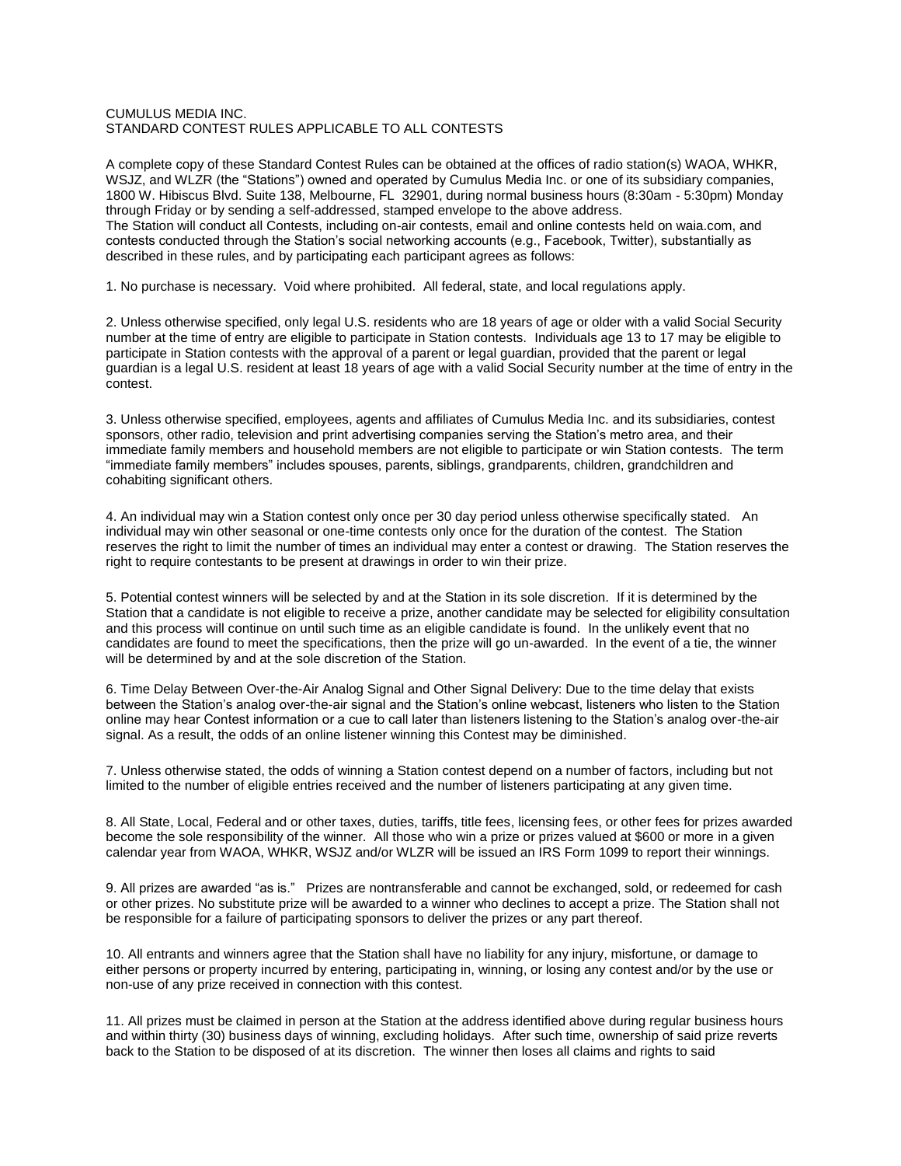## CUMULUS MEDIA INC. STANDARD CONTEST RULES APPLICABLE TO ALL CONTESTS

A complete copy of these Standard Contest Rules can be obtained at the offices of radio station(s) WAOA, WHKR, WSJZ, and WLZR (the "Stations") owned and operated by Cumulus Media Inc. or one of its subsidiary companies, 1800 W. Hibiscus Blvd. Suite 138, Melbourne, FL 32901, during normal business hours (8:30am - 5:30pm) Monday through Friday or by sending a self-addressed, stamped envelope to the above address. The Station will conduct all Contests, including on-air contests, email and online contests held on waia.com, and contests conducted through the Station's social networking accounts (e.g., Facebook, Twitter), substantially as described in these rules, and by participating each participant agrees as follows:

1. No purchase is necessary. Void where prohibited. All federal, state, and local regulations apply.

2. Unless otherwise specified, only legal U.S. residents who are 18 years of age or older with a valid Social Security number at the time of entry are eligible to participate in Station contests. Individuals age 13 to 17 may be eligible to participate in Station contests with the approval of a parent or legal guardian, provided that the parent or legal guardian is a legal U.S. resident at least 18 years of age with a valid Social Security number at the time of entry in the contest.

3. Unless otherwise specified, employees, agents and affiliates of Cumulus Media Inc. and its subsidiaries, contest sponsors, other radio, television and print advertising companies serving the Station's metro area, and their immediate family members and household members are not eligible to participate or win Station contests. The term "immediate family members" includes spouses, parents, siblings, grandparents, children, grandchildren and cohabiting significant others.

4. An individual may win a Station contest only once per 30 day period unless otherwise specifically stated. An individual may win other seasonal or one-time contests only once for the duration of the contest. The Station reserves the right to limit the number of times an individual may enter a contest or drawing. The Station reserves the right to require contestants to be present at drawings in order to win their prize.

5. Potential contest winners will be selected by and at the Station in its sole discretion. If it is determined by the Station that a candidate is not eligible to receive a prize, another candidate may be selected for eligibility consultation and this process will continue on until such time as an eligible candidate is found. In the unlikely event that no candidates are found to meet the specifications, then the prize will go un-awarded. In the event of a tie, the winner will be determined by and at the sole discretion of the Station.

6. Time Delay Between Over-the-Air Analog Signal and Other Signal Delivery: Due to the time delay that exists between the Station's analog over-the-air signal and the Station's online webcast, listeners who listen to the Station online may hear Contest information or a cue to call later than listeners listening to the Station's analog over-the-air signal. As a result, the odds of an online listener winning this Contest may be diminished.

7. Unless otherwise stated, the odds of winning a Station contest depend on a number of factors, including but not limited to the number of eligible entries received and the number of listeners participating at any given time.

8. All State, Local, Federal and or other taxes, duties, tariffs, title fees, licensing fees, or other fees for prizes awarded become the sole responsibility of the winner. All those who win a prize or prizes valued at \$600 or more in a given calendar year from WAOA, WHKR, WSJZ and/or WLZR will be issued an IRS Form 1099 to report their winnings.

9. All prizes are awarded "as is." Prizes are nontransferable and cannot be exchanged, sold, or redeemed for cash or other prizes. No substitute prize will be awarded to a winner who declines to accept a prize. The Station shall not be responsible for a failure of participating sponsors to deliver the prizes or any part thereof.

10. All entrants and winners agree that the Station shall have no liability for any injury, misfortune, or damage to either persons or property incurred by entering, participating in, winning, or losing any contest and/or by the use or non-use of any prize received in connection with this contest.

11. All prizes must be claimed in person at the Station at the address identified above during regular business hours and within thirty (30) business days of winning, excluding holidays. After such time, ownership of said prize reverts back to the Station to be disposed of at its discretion. The winner then loses all claims and rights to said